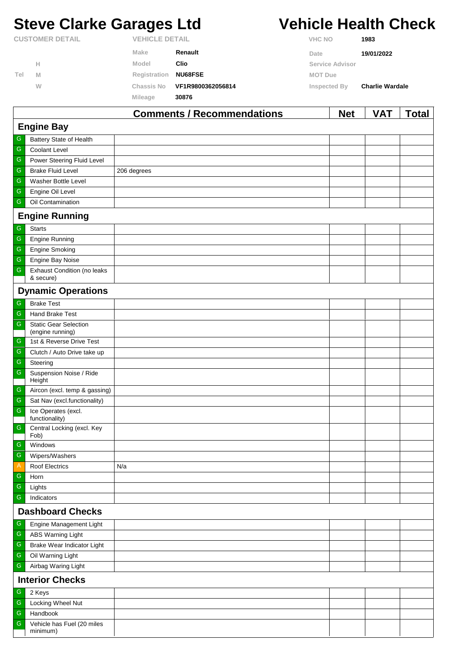# **Steve Clarke Garages Ltd Vehicle Health Check**

|                        |   |                       | Commonts / Recommondations | <b>Not</b>      | <b>VAT</b>             | Total |
|------------------------|---|-----------------------|----------------------------|-----------------|------------------------|-------|
|                        |   | Mileage               | 30876                      |                 |                        |       |
|                        | W | Chassis No            | VF1R9800362056814          | Inspected By    | <b>Charlie Wardale</b> |       |
| Tel                    | M | Registration          | <b>NU68FSE</b>             | <b>MOT Due</b>  |                        |       |
|                        | н | Model                 | Clio                       | Service Advisor |                        |       |
|                        |   | Make                  | Renault                    | Date            | 19/01/2022             |       |
| <b>CUSTOMER DETAIL</b> |   | <b>VEHICLE DETAIL</b> |                            | <b>VHC NO</b>   | 1983                   |       |

|                         |                                                  | <b>Comments / Recommendations</b> | <b>Net</b> | <b>VAT</b> | Total |
|-------------------------|--------------------------------------------------|-----------------------------------|------------|------------|-------|
|                         | <b>Engine Bay</b>                                |                                   |            |            |       |
| G                       | Battery State of Health                          |                                   |            |            |       |
| ${\mathsf G}$           | Coolant Level                                    |                                   |            |            |       |
| ${\mathsf G}$           | Power Steering Fluid Level                       |                                   |            |            |       |
| ${\mathsf G}$           | <b>Brake Fluid Level</b>                         | 206 degrees                       |            |            |       |
| ${\mathsf G}$           | Washer Bottle Level                              |                                   |            |            |       |
| ${\mathsf G}$           | Engine Oil Level                                 |                                   |            |            |       |
| ${\mathsf G}$           | Oil Contamination                                |                                   |            |            |       |
|                         | <b>Engine Running</b>                            |                                   |            |            |       |
| ${\mathsf G}$           | <b>Starts</b>                                    |                                   |            |            |       |
| ${\mathsf G}$           | <b>Engine Running</b>                            |                                   |            |            |       |
| ${\mathsf G}$           | <b>Engine Smoking</b>                            |                                   |            |            |       |
| ${\mathsf G}$           | Engine Bay Noise                                 |                                   |            |            |       |
| ${\mathsf G}$           | <b>Exhaust Condition (no leaks</b><br>& secure)  |                                   |            |            |       |
|                         | <b>Dynamic Operations</b>                        |                                   |            |            |       |
| G                       | <b>Brake Test</b>                                |                                   |            |            |       |
| ${\mathsf G}$           | Hand Brake Test                                  |                                   |            |            |       |
| $\overline{\mathbb{G}}$ | <b>Static Gear Selection</b><br>(engine running) |                                   |            |            |       |
| ${\mathbb G}$           | 1st & Reverse Drive Test                         |                                   |            |            |       |
| ${\mathsf G}$           | Clutch / Auto Drive take up                      |                                   |            |            |       |
| ${\mathsf G}$           | Steering                                         |                                   |            |            |       |
| ${\mathsf G}$           | Suspension Noise / Ride<br>Height                |                                   |            |            |       |
| ${\mathsf G}$           | Aircon (excl. temp & gassing)                    |                                   |            |            |       |
| ${\mathsf G}$           | Sat Nav (excl.functionality)                     |                                   |            |            |       |
| $\overline{\mathbb{G}}$ | Ice Operates (excl.<br>functionality)            |                                   |            |            |       |
| ${\mathsf G}$           | Central Locking (excl. Key<br>Fob)               |                                   |            |            |       |
| G                       | Windows                                          |                                   |            |            |       |
| $\mathsf G$             | Wipers/Washers                                   |                                   |            |            |       |
| $\mathsf{A}$            | <b>Roof Electrics</b>                            | N/a                               |            |            |       |
| ${\mathbb G}$           | Horn                                             |                                   |            |            |       |
| ${\mathsf G}$           | Lights                                           |                                   |            |            |       |
| ${\mathsf G}$           | Indicators                                       |                                   |            |            |       |
|                         | <b>Dashboard Checks</b>                          |                                   |            |            |       |
| ${\mathsf G}$           | Engine Management Light                          |                                   |            |            |       |
| ${\mathsf G}$           | ABS Warning Light                                |                                   |            |            |       |
| ${\mathsf G}$           | Brake Wear Indicator Light                       |                                   |            |            |       |
| ${\mathsf G}$           | Oil Warning Light                                |                                   |            |            |       |
| ${\mathsf G}$           | Airbag Waring Light                              |                                   |            |            |       |
|                         | <b>Interior Checks</b>                           |                                   |            |            |       |
| ${\mathsf G}$           | 2 Keys                                           |                                   |            |            |       |
| ${\mathsf G}$           | Locking Wheel Nut                                |                                   |            |            |       |
| ${\mathsf G}$           | Handbook                                         |                                   |            |            |       |
| ${\mathsf G}$           | Vehicle has Fuel (20 miles<br>minimum)           |                                   |            |            |       |